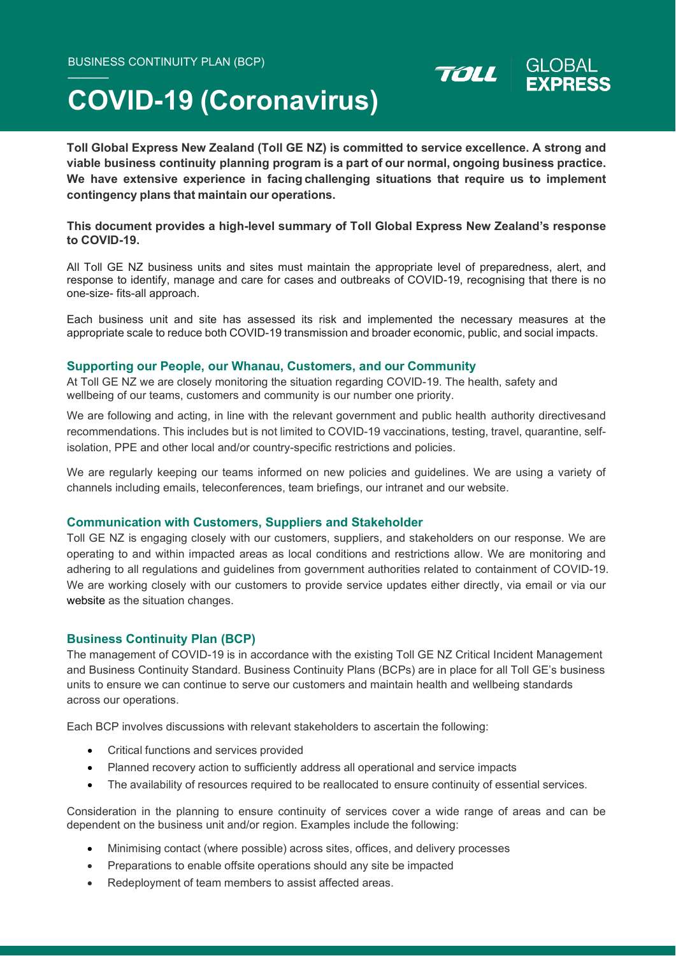## **COVID-19 (Coronavirus)**

**Toll Global Express New Zealand (Toll GE NZ) is committed to service excellence. A strong and viable business continuity planning program is a part of our normal, ongoing business practice. We have extensive experience in facing challenging situations that require us to implement contingency plans that maintain our operations.**

TOLL

### **This document provides a high-level summary of Toll Global Express New Zealand's response to COVID-19.**

All Toll GE NZ business units and sites must maintain the appropriate level of preparedness, alert, and response to identify, manage and care for cases and outbreaks of COVID-19, recognising that there is no one-size- fits-all approach.

Each business unit and site has assessed its risk and implemented the necessary measures at the appropriate scale to reduce both COVID-19 transmission and broader economic, public, and social impacts.

### **Supporting our People, our Whanau, Customers, and our Community**

At Toll GE NZ we are closely monitoring the situation regarding COVID-19. The health, safety and wellbeing of our teams, customers and community is our number one priority.

We are following and acting, in line with the relevant government and public health authority directivesand recommendations. This includes but is not limited to COVID-19 vaccinations, testing, travel, quarantine, selfisolation, PPE and other local and/or country-specific restrictions and policies.

We are regularly keeping our teams informed on new policies and guidelines. We are using a variety of channels including emails, teleconferences, team briefings, our intranet and our website.

### **Communication with Customers, Suppliers and Stakeholder**

Toll GE NZ is engaging closely with our customers, suppliers, and stakeholders on our response. We are operating to and within impacted areas as local conditions and restrictions allow. We are monitoring and adhering to all regulations and guidelines from government authorities related to containment of COVID-19. We are working closely with our customers to provide service updates either directly, via email or via our website as the situation changes.

### **Business Continuity Plan (BCP)**

The management of COVID-19 is in accordance with the existing Toll GE NZ Critical Incident Management and Business Continuity Standard. Business Continuity Plans (BCPs) are in place for all Toll GE's business units to ensure we can continue to serve our customers and maintain health and wellbeing standards across our operations.

Each BCP involves discussions with relevant stakeholders to ascertain the following:

- Critical functions and services provided
- Planned recovery action to sufficiently address all operational and service impacts
- The availability of resources required to be reallocated to ensure continuity of essential services.

Consideration in the planning to ensure continuity of services cover a wide range of areas and can be dependent on the business unit and/or region. Examples include the following:

- Minimising contact (where possible) across sites, offices, and delivery processes
- Preparations to enable offsite operations should any site be impacted
- Redeployment of team members to assist affected areas.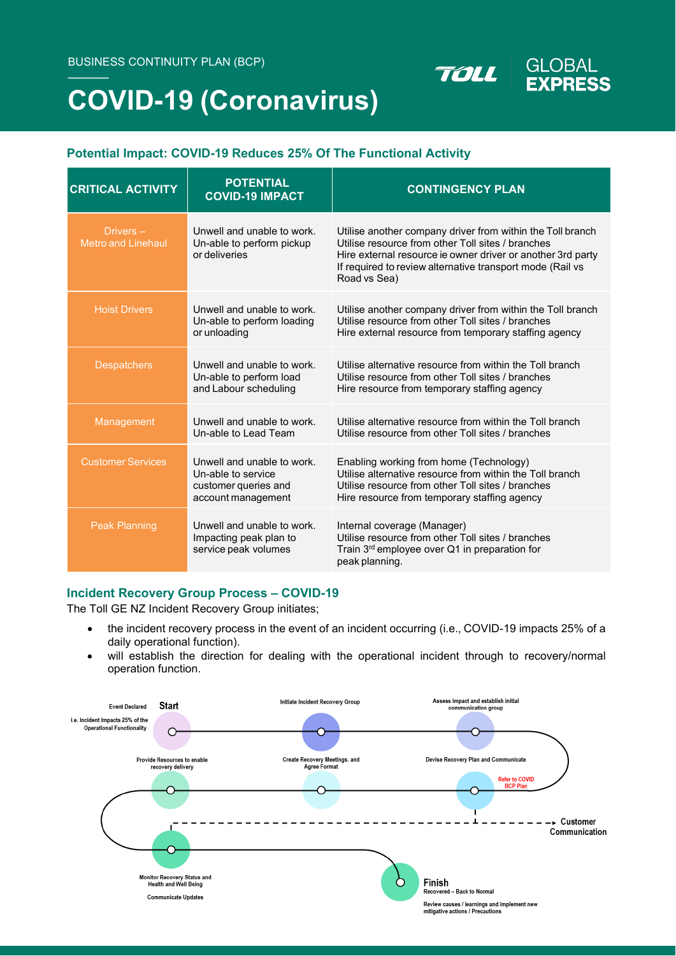# **COVID-19 (Coronavirus)**

### **Potential Impact: COVID-19 Reduces 25% Of The Functional Activity**

| <b>CRITICAL ACTIVITY</b>                 | <b>POTENTIAL</b><br><b>COVID-19 IMPACT</b>                                                     | <b>CONTINGENCY PLAN</b>                                                                                                                                                                                                                                     |
|------------------------------------------|------------------------------------------------------------------------------------------------|-------------------------------------------------------------------------------------------------------------------------------------------------------------------------------------------------------------------------------------------------------------|
| Drivers $-$<br><b>Metro and Linehaul</b> | Unwell and unable to work.<br>Un-able to perform pickup<br>or deliveries                       | Utilise another company driver from within the Toll branch<br>Utilise resource from other Toll sites / branches<br>Hire external resource ie owner driver or another 3rd party<br>If required to review alternative transport mode (Rail vs<br>Road vs Sea) |
| <b>Hoist Drivers</b>                     | Unwell and unable to work.<br>Un-able to perform loading<br>or unloading                       | Utilise another company driver from within the Toll branch<br>Utilise resource from other Toll sites / branches<br>Hire external resource from temporary staffing agency                                                                                    |
| <b>Despatchers</b>                       | Unwell and unable to work.<br>Un-able to perform load<br>and Labour scheduling                 | Utilise alternative resource from within the Toll branch<br>Utilise resource from other Toll sites / branches<br>Hire resource from temporary staffing agency                                                                                               |
| Management                               | Unwell and unable to work.<br>Un-able to Lead Team                                             | Utilise alternative resource from within the Toll branch<br>Utilise resource from other Toll sites / branches                                                                                                                                               |
| <b>Customer Services</b>                 | Unwell and unable to work.<br>Un-able to service<br>customer queries and<br>account management | Enabling working from home (Technology)<br>Utilise alternative resource from within the Toll branch<br>Utilise resource from other Toll sites / branches<br>Hire resource from temporary staffing agency                                                    |
| <b>Peak Planning</b>                     | Unwell and unable to work.<br>Impacting peak plan to<br>service peak volumes                   | Internal coverage (Manager)<br>Utilise resource from other Toll sites / branches<br>Train 3rd employee over Q1 in preparation for<br>peak planning.                                                                                                         |

**GLOBAL** 

**EXPRESS** 

TOLL

### **Incident Recovery Group Process – COVID-19**

The Toll GE NZ Incident Recovery Group initiates;

- the incident recovery process in the event of an incident occurring (i.e., COVID-19 impacts 25% of a daily operational function).
- will establish the direction for dealing with the operational incident through to recovery/normal operation function.